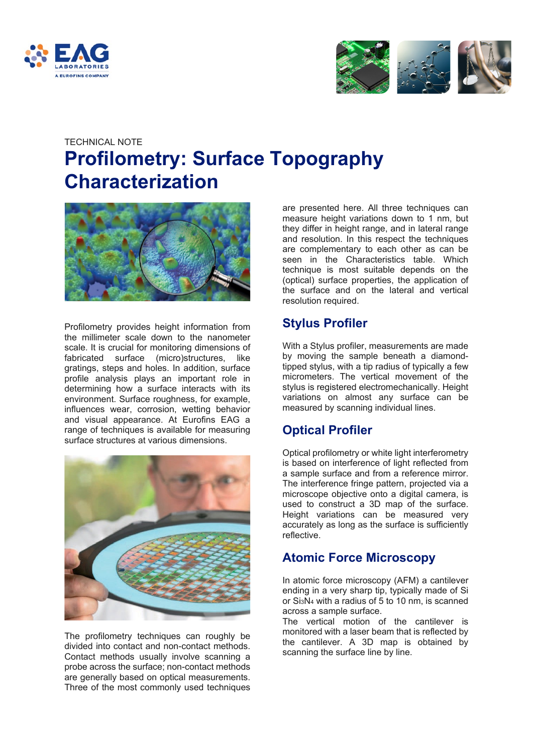



# TECHNICAL NOTE **Profilometry: Surface Topography Characterization**



Profilometry provides height information from the millimeter scale down to the nanometer scale. It is crucial for monitoring dimensions of fabricated surface (micro)structures, like gratings, steps and holes. In addition, surface profile analysis plays an important role in determining how a surface interacts with its environment. Surface roughness, for example, influences wear, corrosion, wetting behavior and visual appearance. At Eurofins EAG a range of techniques is available for measuring surface structures at various dimensions.



The profilometry techniques can roughly be divided into contact and non-contact methods. Contact methods usually involve scanning a probe across the surface; non-contact methods are generally based on optical measurements. Three of the most commonly used techniques

are presented here. All three techniques can measure height variations down to 1 nm, but they differ in height range, and in lateral range and resolution. In this respect the techniques are complementary to each other as can be seen in the Characteristics table. Which technique is most suitable depends on the (optical) surface properties, the application of the surface and on the lateral and vertical resolution required.

## **Stylus Profiler**

With a Stylus profiler, measurements are made by moving the sample beneath a diamondtipped stylus, with a tip radius of typically a few micrometers. The vertical movement of the stylus is registered electromechanically. Height variations on almost any surface can be measured by scanning individual lines.

## **Optical Profiler**

Optical profilometry or white light interferometry is based on interference of light reflected from a sample surface and from a reference mirror. The interference fringe pattern, projected via a microscope objective onto a digital camera, is used to construct a 3D map of the surface. Height variations can be measured very accurately as long as the surface is sufficiently reflective.

## **Atomic Force Microscopy**

In atomic force microscopy (AFM) a cantilever ending in a very sharp tip, typically made of Si or Si3N4 with a radius of 5 to 10 nm, is scanned across a sample surface.

The vertical motion of the cantilever is monitored with a laser beam that is reflected by the cantilever. A 3D map is obtained by scanning the surface line by line.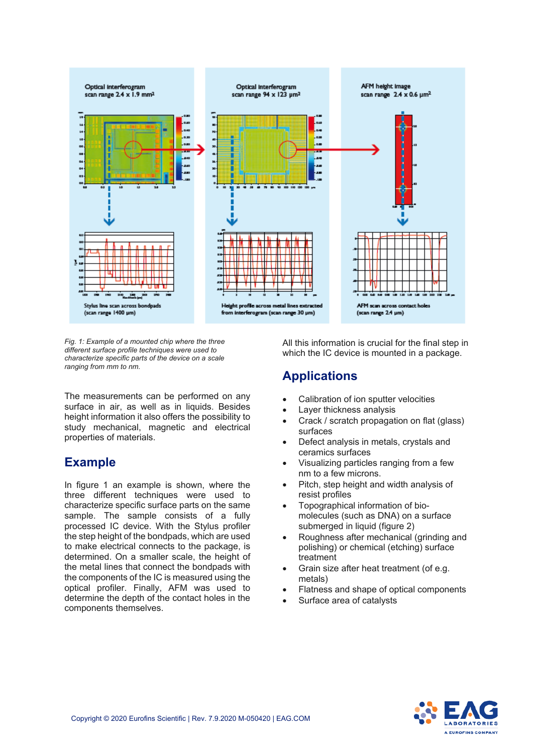

*Fig. 1: Example of a mounted chip where the three different surface profile techniques were used to characterize specific parts of the device on a scale ranging from mm to nm.*

The measurements can be performed on any surface in air, as well as in liquids. Besides height information it also offers the possibility to study mechanical, magnetic and electrical properties of materials.

#### **Example**

In figure 1 an example is shown, where the three different techniques were used to characterize specific surface parts on the same sample. The sample consists of a fully processed IC device. With the Stylus profiler the step height of the bondpads, which are used to make electrical connects to the package, is determined. On a smaller scale, the height of the metal lines that connect the bondpads with the components of the IC is measured using the optical profiler. Finally, AFM was used to determine the depth of the contact holes in the components themselves.

All this information is crucial for the final step in which the IC device is mounted in a package.

#### **Applications**

- Calibration of ion sputter velocities
- Layer thickness analysis
- Crack / scratch propagation on flat (glass) surfaces
- Defect analysis in metals, crystals and ceramics surfaces
- Visualizing particles ranging from a few nm to a few microns.
- Pitch, step height and width analysis of resist profiles
- Topographical information of biomolecules (such as DNA) on a surface submerged in liquid (figure 2)
- Roughness after mechanical (grinding and polishing) or chemical (etching) surface treatment
- Grain size after heat treatment (of e.g. metals)
- Flatness and shape of optical components
- Surface area of catalysts